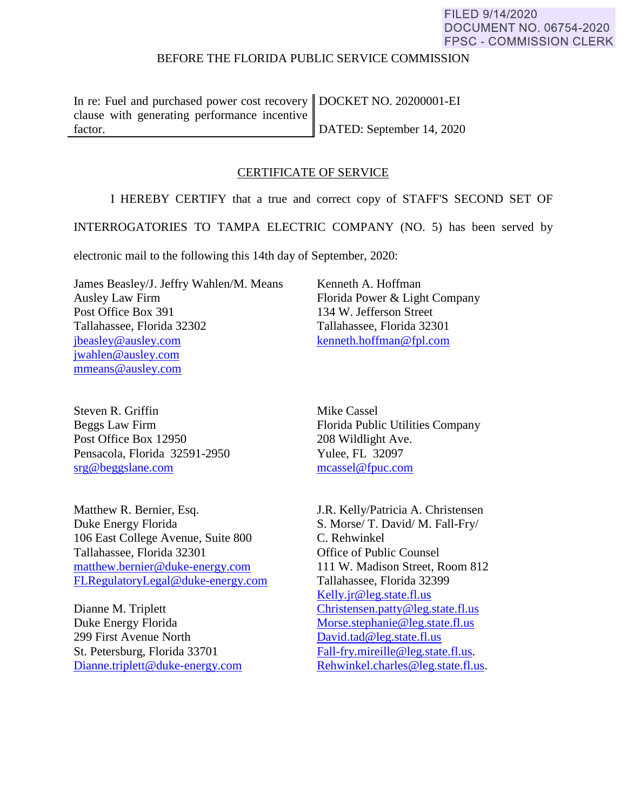## BEFORE THE FLORIDA PUBLIC SERVICE COMMISSION

In re: Fuel and purchased power cost recovery DOCKET NO. 20200001-EI clause with generating performance incentive factor.

DATED: September 14, 2020

## CERTIFICATE OF SERVICE

I HEREBY CERTIFY that a true and correct copy of STAFF'S SECOND SET OF

INTERROGATORIES TO TAMPA ELECTRIC COMPANY (NO. 5) has been served by

electronic mail to the following this 14th day of September, 2020:

James Beasley/J. Jeffry Wahlen/M. Means Ausley Law Firm Post Office Box 391 Tallahassee, Florida 32302 [jbeasley@ausley.com](mailto:jbeasley@ausley.com) [jwahlen@ausley.com](mailto:jwahlen@ausley.com) mmeans@ausley.com

Kenneth A. Hoffman Florida Power & Light Company 134 W. Jefferson Street Tallahassee, Florida 32301 [kenneth.hoffman@fpl.com](mailto:Ken.Hoffman@fpl.com)

Steven R. Griffin Beggs Law Firm Post Office Box 12950 Pensacola, Florida 32591-2950 [srg@beggslane.com](mailto:srg@beggslane.com)

Matthew R. Bernier, Esq. Duke Energy Florida 106 East College Avenue, Suite 800 Tallahassee, Florida 32301 [matthew.bernier@duke-energy.com](mailto:matthew.bernier@duke-energy.com) [FLRegulatoryLegal@duke-energy.com](mailto:FLRegulatoryLegal@duke-energy.com)

Dianne M. Triplett Duke Energy Florida 299 First Avenue North St. Petersburg, Florida 33701 [Dianne.triplett@duke-energy.com](mailto:Dianne.triplett@duke-energy.com)  Mike Cassel Florida Public Utilities Company 208 Wildlight Ave. Yulee, FL 32097 [mcassel@fpuc.com](mailto:mcassel@fpuc.com)

J.R. Kelly/Patricia A. Christensen S. Morse/ T. David/ M. Fall-Fry/ C. Rehwinkel Office of Public Counsel 111 W. Madison Street, Room 812 Tallahassee, Florida 32399 [Kelly.jr@leg.state.fl.us](mailto:Kelly.jr@leg.state.fl.us)  [Christensen.patty@leg.state.fl.us](mailto:Christensen.patty@leg.state.fl.us)  [Morse.stephanie@leg.state.fl.us](mailto:Morse.stephanie@leg.state.fl.us)  [David.tad@leg.state.fl.us](mailto:David.tad@leg.state.fl.us)  [Fall-fry.mireille@leg.state.fl.us.](mailto:Fall-fry.mireille@leg.state.fl.us) [Rehwinkel.charles@leg.state.fl.us.](mailto:Rehwinkel.charles@leg.state.fl.us)